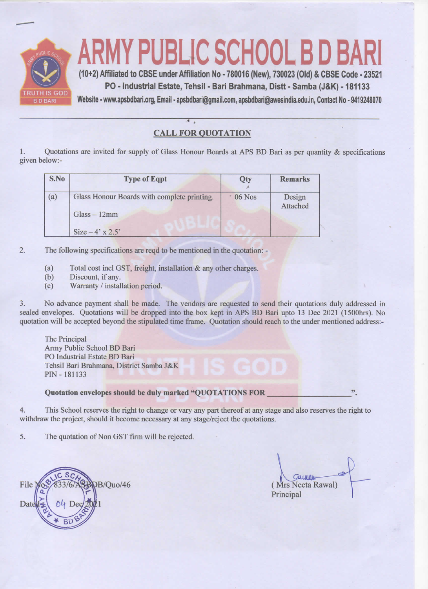

## **CALL FOR QUOTATION**

 $1.$ Quotations are invited for supply of Glass Honour Boards at APS BD Bari as per quantity & specifications given below:-

| S.No | <b>Type of Eqpt</b>                                                                | Qty      | <b>Remarks</b>     |
|------|------------------------------------------------------------------------------------|----------|--------------------|
| (a)  | Glass Honour Boards with complete printing.<br>$Glass - 12mm$<br>Size $-4'$ x 2.5' | $06$ Nos | Design<br>Attached |

 $\overline{2}$ . The following specifications are regd to be mentioned in the quotation: -

- $(a)$ Total cost incl GST, freight, installation & any other charges.
- Discount, if any.  $(b)$
- Warranty / installation period.  $(c)$

No advance payment shall be made. The vendors are requested to send their quotations duly addressed in  $3.$ sealed envelopes. Quotations will be dropped into the box kept in APS BD Bari upto 13 Dec 2021 (1500hrs). No quotation will be accepted beyond the stipulated time frame. Quotation should reach to the under mentioned address:-

The Principal Army Public School BD Bari PO Industrial Estate BD Bari Tehsil Bari Brahmana, District Samba J&K PIN - 181133

## Quotation envelopes should be duly marked "QUOTATIONS FOR

This School reserves the right to change or vary any part thereof at any stage and also reserves the right to  $4.$ withdraw the project, should it become necessary at any stage/reject the quotations.

 $5<sub>1</sub>$ The quotation of Non GST firm will be rejected.



*<u>CLUWILLING</u>* (Mrs Neeta Rawal) Principal